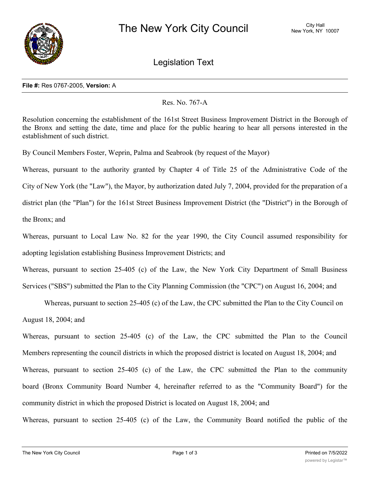

Legislation Text

## **File #:** Res 0767-2005, **Version:** A

Res. No. 767-A

Resolution concerning the establishment of the 161st Street Business Improvement District in the Borough of the Bronx and setting the date, time and place for the public hearing to hear all persons interested in the establishment of such district.

By Council Members Foster, Weprin, Palma and Seabrook (by request of the Mayor)

Whereas, pursuant to the authority granted by Chapter 4 of Title 25 of the Administrative Code of the City of New York (the "Law"), the Mayor, by authorization dated July 7, 2004, provided for the preparation of a district plan (the "Plan") for the 161st Street Business Improvement District (the "District") in the Borough of the Bronx; and

Whereas, pursuant to Local Law No. 82 for the year 1990, the City Council assumed responsibility for adopting legislation establishing Business Improvement Districts; and

Whereas, pursuant to section 25-405 (c) of the Law, the New York City Department of Small Business Services ("SBS") submitted the Plan to the City Planning Commission (the "CPC") on August 16, 2004; and

 Whereas, pursuant to section 25-405 (c) of the Law, the CPC submitted the Plan to the City Council on August 18, 2004; and

Whereas, pursuant to section 25-405 (c) of the Law, the CPC submitted the Plan to the Council Members representing the council districts in which the proposed district is located on August 18, 2004; and Whereas, pursuant to section 25-405 (c) of the Law, the CPC submitted the Plan to the community board (Bronx Community Board Number 4, hereinafter referred to as the "Community Board") for the community district in which the proposed District is located on August 18, 2004; and

Whereas, pursuant to section 25-405 (c) of the Law, the Community Board notified the public of the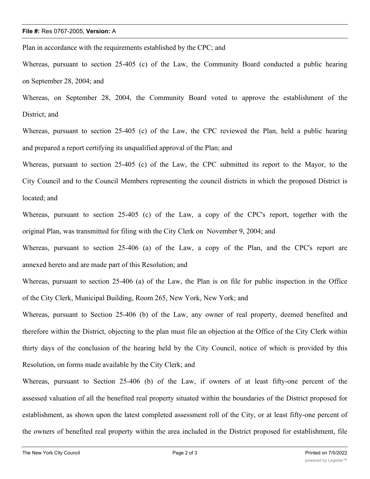## **File #:** Res 0767-2005, **Version:** A

Plan in accordance with the requirements established by the CPC; and

Whereas, pursuant to section 25-405 (c) of the Law, the Community Board conducted a public hearing on September 28, 2004; and

Whereas, on September 28, 2004, the Community Board voted to approve the establishment of the District; and

Whereas, pursuant to section 25-405 (c) of the Law, the CPC reviewed the Plan, held a public hearing and prepared a report certifying its unqualified approval of the Plan; and

Whereas, pursuant to section 25-405 (c) of the Law, the CPC submitted its report to the Mayor, to the City Council and to the Council Members representing the council districts in which the proposed District is located; and

Whereas, pursuant to section 25-405 (c) of the Law, a copy of the CPC's report, together with the original Plan, was transmitted for filing with the City Clerk on November 9, 2004; and

Whereas, pursuant to section 25-406 (a) of the Law, a copy of the Plan, and the CPC's report are annexed hereto and are made part of this Resolution; and

Whereas, pursuant to section 25-406 (a) of the Law, the Plan is on file for public inspection in the Office of the City Clerk, Municipal Building, Room 265, New York, New York; and

Whereas, pursuant to Section 25-406 (b) of the Law, any owner of real property, deemed benefited and therefore within the District, objecting to the plan must file an objection at the Office of the City Clerk within thirty days of the conclusion of the hearing held by the City Council, notice of which is provided by this Resolution, on forms made available by the City Clerk; and

Whereas, pursuant to Section 25-406 (b) of the Law, if owners of at least fifty-one percent of the assessed valuation of all the benefited real property situated within the boundaries of the District proposed for establishment, as shown upon the latest completed assessment roll of the City, or at least fifty-one percent of the owners of benefited real property within the area included in the District proposed for establishment, file